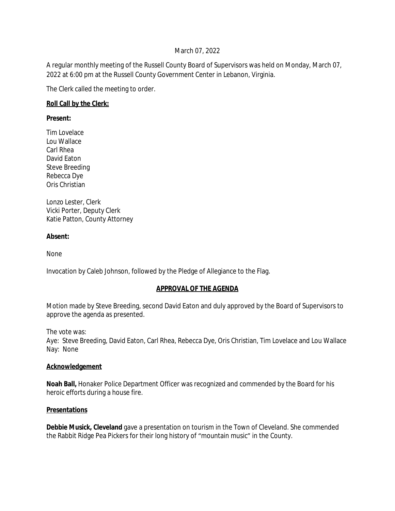### March 07, 2022

A regular monthly meeting of the Russell County Board of Supervisors was held on Monday, March 07, 2022 at 6:00 pm at the Russell County Government Center in Lebanon, Virginia.

The Clerk called the meeting to order.

### **Roll Call by the Clerk:**

#### **Present:**

Tim Lovelace Lou Wallace Carl Rhea David Eaton Steve Breeding Rebecca Dye Oris Christian

Lonzo Lester, Clerk Vicki Porter, Deputy Clerk Katie Patton, County Attorney

### **Absent:**

None

Invocation by Caleb Johnson, followed by the Pledge of Allegiance to the Flag.

### **APPROVAL OF THE AGENDA**

Motion made by Steve Breeding, second David Eaton and duly approved by the Board of Supervisors to approve the agenda as presented.

The vote was:

Aye: Steve Breeding, David Eaton, Carl Rhea, Rebecca Dye, Oris Christian, Tim Lovelace and Lou Wallace Nay: None

### **Acknowledgement**

**Noah Ball,** Honaker Police Department Officer was recognized and commended by the Board for his heroic efforts during a house fire.

### **Presentations**

**Debbie Musick, Cleveland** gave a presentation on tourism in the Town of Cleveland. She commended the Rabbit Ridge Pea Pickers for their long history of "mountain music" in the County.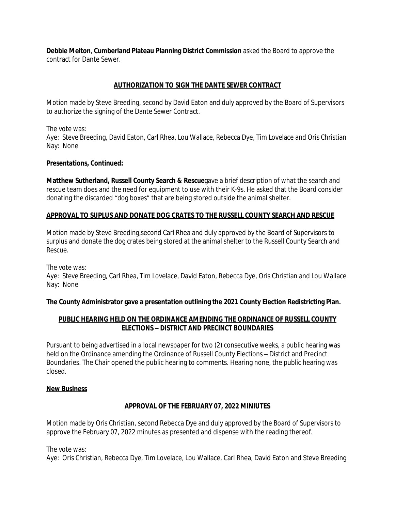**Debbie Melton**, **Cumberland Plateau Planning District Commission** asked the Board to approve the contract for Dante Sewer.

## **AUTHORIZATION TO SIGN THE DANTE SEWER CONTRACT**

Motion made by Steve Breeding, second by David Eaton and duly approved by the Board of Supervisors to authorize the signing of the Dante Sewer Contract.

The vote was:

Aye: Steve Breeding, David Eaton, Carl Rhea, Lou Wallace, Rebecca Dye, Tim Lovelace and Oris Christian Nay: None

### **Presentations, Continued:**

**Matthew Sutherland, Russell County Search & Rescue**gave a brief description of what the search and rescue team does and the need for equipment to use with their K-9s. He asked that the Board consider donating the discarded "dog boxes" that are being stored outside the animal shelter.

### **APPROVAL TO SUPLUS AND DONATE DOG CRATES TO THE RUSSELL COUNTY SEARCH AND RESCUE**

Motion made by Steve Breeding,second Carl Rhea and duly approved by the Board of Supervisors to surplus and donate the dog crates being stored at the animal shelter to the Russell County Search and Rescue.

The vote was:

Aye: Steve Breeding, Carl Rhea, Tim Lovelace, David Eaton, Rebecca Dye, Oris Christian and Lou Wallace Nay: None

**The County Administrator gave a presentation outlining the 2021 County Election Redistricting Plan.**

## **PUBLIC HEARING HELD ON THE ORDINANCE AMENDING THE ORDINANCE OF RUSSELL COUNTY ELECTIONS – DISTRICT AND PRECINCT BOUNDARIES**

Pursuant to being advertised in a local newspaper for two (2) consecutive weeks, a public hearing was held on the Ordinance amending the Ordinance of Russell County Elections – District and Precinct Boundaries. The Chair opened the public hearing to comments. Hearing none, the public hearing was closed.

### **New Business**

### **APPROVAL OF THE FEBRUARY 07, 2022 MINIUTES**

Motion made by Oris Christian, second Rebecca Dye and duly approved by the Board of Supervisors to approve the February 07, 2022 minutes as presented and dispense with the reading thereof.

The vote was:

Aye: Oris Christian, Rebecca Dye, Tim Lovelace, Lou Wallace, Carl Rhea, David Eaton and Steve Breeding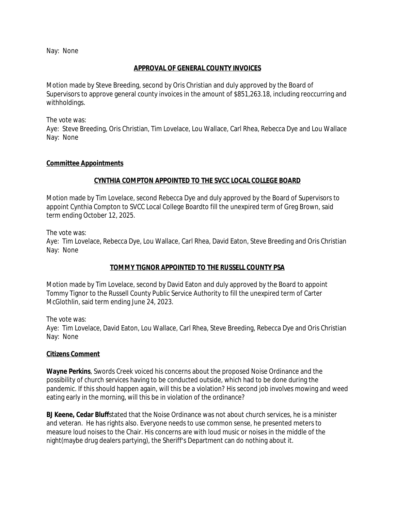Nay: None

#### **APPROVAL OF GENERAL COUNTY INVOICES**

Motion made by Steve Breeding, second by Oris Christian and duly approved by the Board of Supervisors to approve general county invoices in the amount of \$851,263.18, including reoccurring and withholdings.

The vote was:

Aye: Steve Breeding, Oris Christian, Tim Lovelace, Lou Wallace, Carl Rhea, Rebecca Dye and Lou Wallace Nay: None

#### **Committee Appointments**

### **CYNTHIA COMPTON APPOINTED TO THE SVCC LOCAL COLLEGE BOARD**

Motion made by Tim Lovelace, second Rebecca Dye and duly approved by the Board of Supervisors to appoint Cynthia Compton to SVCC Local College Boardto fill the unexpired term of Greg Brown, said term ending October 12, 2025.

The vote was:

Aye: Tim Lovelace, Rebecca Dye, Lou Wallace, Carl Rhea, David Eaton, Steve Breeding and Oris Christian Nay: None

### **TOMMY TIGNOR APPOINTED TO THE RUSSELL COUNTY PSA**

Motion made by Tim Lovelace, second by David Eaton and duly approved by the Board to appoint Tommy Tignor to the Russell County Public Service Authority to fill the unexpired term of Carter McGlothlin, said term ending June 24, 2023.

The vote was:

Aye: Tim Lovelace, David Eaton, Lou Wallace, Carl Rhea, Steve Breeding, Rebecca Dye and Oris Christian Nay: None

### **Citizens Comment**

**Wayne Perkins**, Swords Creek voiced his concerns about the proposed Noise Ordinance and the possibility of church services having to be conducted outside, which had to be done during the pandemic. If this should happen again, will this be a violation? His second job involves mowing and weed eating early in the morning, will this be in violation of the ordinance?

**BJ Keene, Cedar Bluff**stated that the Noise Ordinance was not about church services, he is a minister and veteran. He has rights also. Everyone needs to use common sense, he presented meters to measure loud noises to the Chair. His concerns are with loud music or noises in the middle of the night(maybe drug dealers partying), the Sheriff's Department can do nothing about it.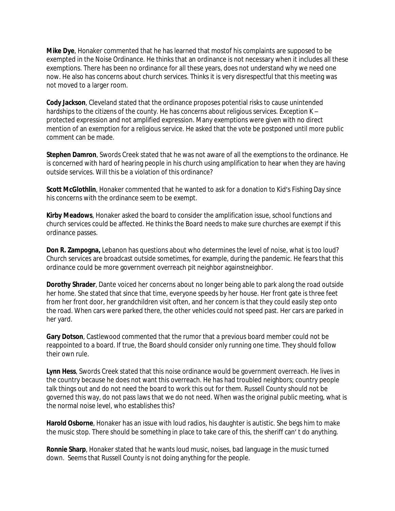**Mike Dye**, Honaker commented that he has learned that mostof his complaints are supposed to be exempted in the Noise Ordinance. He thinks that an ordinance is not necessary when it includes all these exemptions. There has been no ordinance for all these years, does not understand why we need one now. He also has concerns about church services. Thinks it is very disrespectful that this meeting was not moved to a larger room.

**Cody Jackson**, Cleveland stated that the ordinance proposes potential risks to cause unintended hardships to the citizens of the county. He has concerns about religious services. Exception K protected expression and not amplified expression. Many exemptions were given with no direct mention of an exemption for a religious service. He asked that the vote be postponed until more public comment can be made.

**Stephen Damron**, Swords Creek stated that he was not aware of all the exemptions to the ordinance. He is concerned with hard of hearing people in his church using amplification to hear when they are having outside services. Will this be a violation of this ordinance?

**Scott McGlothlin**, Honaker commented that he wanted to ask for a donation to Kid's Fishing Day since his concerns with the ordinance seem to be exempt.

**Kirby Meadows**, Honaker asked the board to consider the amplification issue, school functions and church services could be affected. He thinks the Board needs to make sure churches are exempt if this ordinance passes.

**Don R. Zampogna,** Lebanon has questions about who determines the level of noise, what is too loud? Church services are broadcast outside sometimes, for example, during the pandemic. He fears that this ordinance could be more government overreach pit neighbor againstneighbor.

**Dorothy Shrader**, Dante voiced her concerns about no longer being able to park along the road outside her home. She stated that since that time, everyone speeds by her house. Her front gate is three feet from her front door, her grandchildren visit often, and her concern is that they could easily step onto the road. When cars were parked there, the other vehicles could not speed past. Her cars are parked in her yard.

**Gary Dotson**, Castlewood commented that the rumor that a previous board member could not be reappointed to a board. If true, the Board should consider only running one time. They should follow their own rule.

**Lynn Hess**, Swords Creek stated that this noise ordinance would be government overreach. He lives in the country because he does not want this overreach. He has had troubled neighbors; country people talk things out and do not need the board to work this out for them. Russell County should not be governed this way, do not pass laws that we do not need. When was the original public meeting, what is the normal noise level, who establishes this?

**Harold Osborne**, Honaker has an issue with loud radios, his daughter is autistic. She begs him to make the music stop. There should be something in place to take care of this, the sheriff can' t do anything.

**Ronnie Sharp**, Honaker stated that he wants loud music, noises, bad language in the music turned down. Seems that Russell County is not doing anything for the people.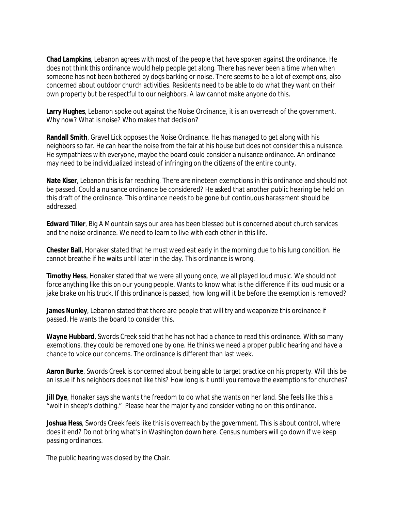**Chad Lampkins**, Lebanon agrees with most of the people that have spoken against the ordinance. He does not think this ordinance would help people get along. There has never been a time when when someone has not been bothered by dogs barking or noise. There seems to be a lot of exemptions, also concerned about outdoor church activities. Residents need to be able to do what they want on their own property but be respectful to our neighbors. A law cannot make anyone do this.

**Larry Hughes**, Lebanon spoke out against the Noise Ordinance, it is an overreach of the government. Why now? What is noise? Who makes that decision?

**Randall Smith**, Gravel Lick opposes the Noise Ordinance. He has managed to get along with his neighbors so far. He can hear the noise from the fair at his house but does not consider this a nuisance. He sympathizes with everyone, maybe the board could consider a nuisance ordinance. An ordinance may need to be individualized instead of infringing on the citizens of the entire county.

**Nate Kiser**, Lebanon this is far reaching. There are nineteen exemptions in this ordinance and should not be passed. Could a nuisance ordinance be considered? He asked that another public hearing be held on this draft of the ordinance. This ordinance needs to be gone but continuous harassment should be addressed.

**Edward Tiller**, Big A Mountain says our area has been blessed but is concerned about church services and the noise ordinance. We need to learn to live with each other in this life.

**Chester Ball**, Honaker stated that he must weed eat early in the morning due to his lung condition. He cannot breathe if he waits until later in the day. This ordinance is wrong.

**Timothy Hess**, Honaker stated that we were all young once, we all played loud music. We should not force anything like this on our young people. Wants to know what is the difference if its loud music or a jake brake on his truck. If this ordinance is passed, how long will it be before the exemption is removed?

James Nunley, Lebanon stated that there are people that will try and weaponize this ordinance if passed. He wants the board to consider this.

**Wayne Hubbard**, Swords Creek said that he has not had a chance to read this ordinance. With so many exemptions, they could be removed one by one. He thinks we need a proper public hearing and have a chance to voice our concerns. The ordinance is different than last week.

**Aaron Burke**, Swords Creek is concerned about being able to target practice on his property. Will this be an issue if his neighbors does not like this? How long is it until you remove the exemptions for churches?

**Jill Dye**, Honaker says she wants the freedom to do what she wants on her land. She feels like this a "wolf in sheep's clothing." Please hear the majority and consider voting no on this ordinance.

**Joshua Hess**, Swords Creek feels like this is overreach by the government. This is about control, where does it end? Do not bring what's in Washington down here. Census numbers will go down if we keep passing ordinances.

The public hearing was closed by the Chair.